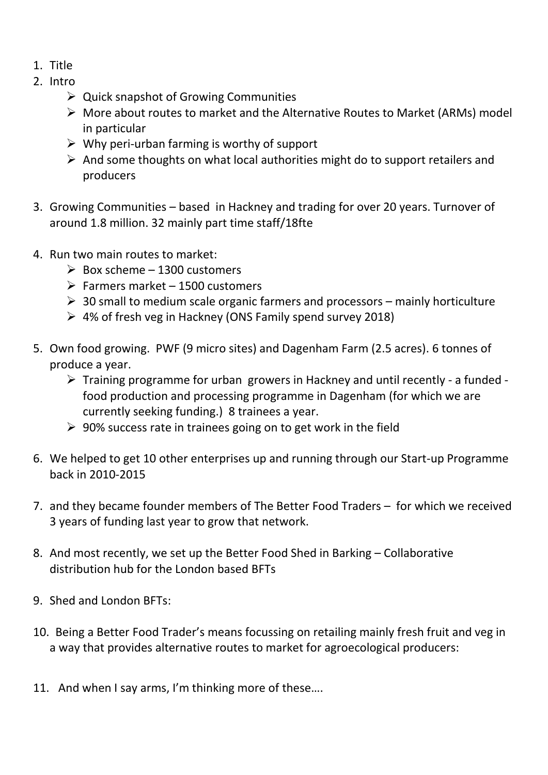- 1. Title
- 2. Intro
	- $\triangleright$  Quick snapshot of Growing Communities
	- More about routes to market and the Alternative Routes to Market (ARMs) model in particular
	- $\triangleright$  Why peri-urban farming is worthy of support
	- $\triangleright$  And some thoughts on what local authorities might do to support retailers and producers
- 3. Growing Communities based in Hackney and trading for over 20 years. Turnover of around 1.8 million. 32 mainly part time staff/18fte
- 4. Run two main routes to market:
	- $\triangleright$  Box scheme 1300 customers
	- $\triangleright$  Farmers market 1500 customers
	- $\geq 30$  small to medium scale organic farmers and processors mainly horticulture
	- 4% of fresh veg in Hackney (ONS Family spend survey 2018)
- 5. Own food growing. PWF (9 micro sites) and Dagenham Farm (2.5 acres). 6 tonnes of produce a year.
	- $\triangleright$  Training programme for urban growers in Hackney and until recently a funded food production and processing programme in Dagenham (for which we are currently seeking funding.) 8 trainees a year.
	- $\geq 90\%$  success rate in trainees going on to get work in the field
- 6. We helped to get 10 other enterprises up and running through our Start-up Programme back in 2010-2015
- 7. and they became founder members of The Better Food Traders for which we received 3 years of funding last year to grow that network.
- 8. And most recently, we set up the Better Food Shed in Barking Collaborative distribution hub for the London based BFTs
- 9. Shed and London BFTs:
- 10. Being a Better Food Trader's means focussing on retailing mainly fresh fruit and veg in a way that provides alternative routes to market for agroecological producers:
- 11. And when I say arms, I'm thinking more of these….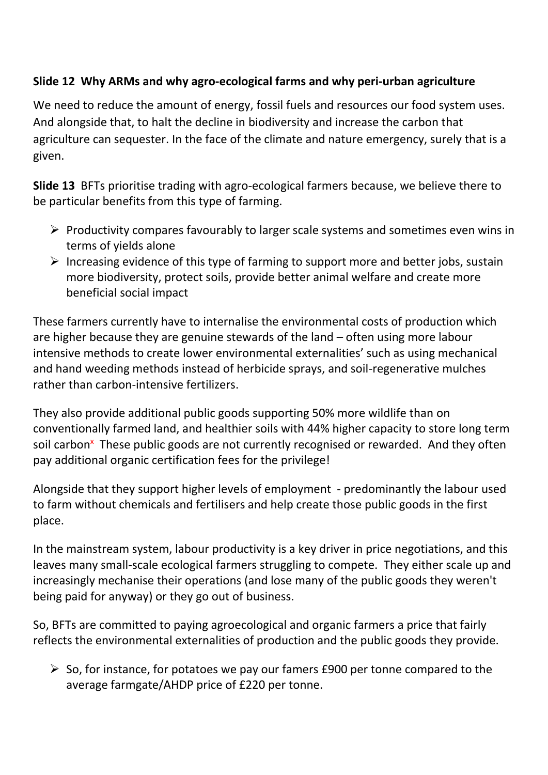## **Slide 12 Why ARMs and why agro-ecological farms and why peri-urban agriculture**

We need to reduce the amount of energy, fossil fuels and resources our food system uses. And alongside that, to halt the decline in biodiversity and increase the carbon that agriculture can sequester. In the face of the climate and nature emergency, surely that is a given.

**Slide 13** BFTs prioritise trading with agro-ecological farmers because, we believe there to be particular benefits from this type of farming.

- $\triangleright$  Productivity compares favourably to larger scale systems and sometimes even wins in terms of yields alone
- $\triangleright$  Increasing evidence of this type of farming to support more and better jobs, sustain more biodiversity, protect soils, provide better animal welfare and create more beneficial social impact

These farmers currently have to internalise the environmental costs of production which are higher because they are genuine stewards of the land – often using more labour intensive methods to create lower environmental externalities' such as using mechanical and hand weeding methods instead of herbicide sprays, and soil-regenerative mulches rather than carbon-intensive fertilizers.

They also provide additional public goods supporting 50% more wildlife than on conventionally farmed land, and healthier soils with 44% higher capacity to store long term soil carbon<sup>x</sup> These public goods are not currently recognised or rewarded. And they often pay additional organic certification fees for the privilege!

Alongside that they support higher levels of employment - predominantly the labour used to farm without chemicals and fertilisers and help create those public goods in the first place.

In the mainstream system, labour productivity is a key driver in price negotiations, and this leaves many small-scale ecological farmers struggling to compete. They either scale up and increasingly mechanise their operations (and lose many of the public goods they weren't being paid for anyway) or they go out of business.

So, BFTs are committed to paying agroecological and organic farmers a price that fairly reflects the environmental externalities of production and the public goods they provide.

 $\triangleright$  So, for instance, for potatoes we pay our famers £900 per tonne compared to the average farmgate/AHDP price of £220 per tonne.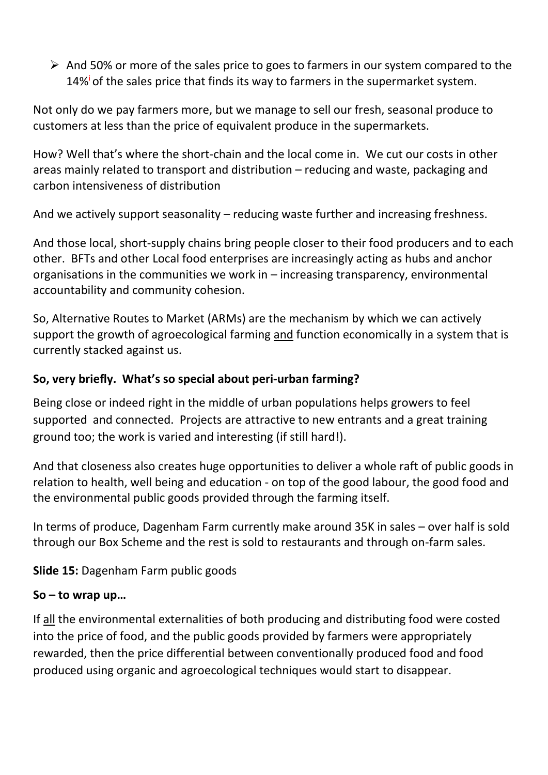$\triangleright$  And 50% or more of the sales price to goes to farmers in our system compared to the 14%<sup>i</sup> of the sales price that finds its way to farmers in the supermarket system.

Not only do we pay farmers more, but we manage to sell our fresh, seasonal produce to customers at less than the price of equivalent produce in the supermarkets.

How? Well that's where the short-chain and the local come in. We cut our costs in other areas mainly related to transport and distribution – reducing and waste, packaging and carbon intensiveness of distribution

And we actively support seasonality – reducing waste further and increasing freshness.

And those local, short-supply chains bring people closer to their food producers and to each other. BFTs and other Local food enterprises are increasingly acting as hubs and anchor organisations in the communities we work in – increasing transparency, environmental accountability and community cohesion.

So, Alternative Routes to Market (ARMs) are the mechanism by which we can actively support the growth of agroecological farming and function economically in a system that is currently stacked against us.

## **So, very briefly. What's so special about peri-urban farming?**

Being close or indeed right in the middle of urban populations helps growers to feel supported and connected. Projects are attractive to new entrants and a great training ground too; the work is varied and interesting (if still hard!).

And that closeness also creates huge opportunities to deliver a whole raft of public goods in relation to health, well being and education - on top of the good labour, the good food and the environmental public goods provided through the farming itself.

In terms of produce, Dagenham Farm currently make around 35K in sales – over half is sold through our Box Scheme and the rest is sold to restaurants and through on-farm sales.

**Slide 15:** Dagenham Farm public goods

## **So – to wrap up…**

If all the environmental externalities of both producing and distributing food were costed into the price of food, and the public goods provided by farmers were appropriately rewarded, then the price differential between conventionally produced food and food produced using organic and agroecological techniques would start to disappear.